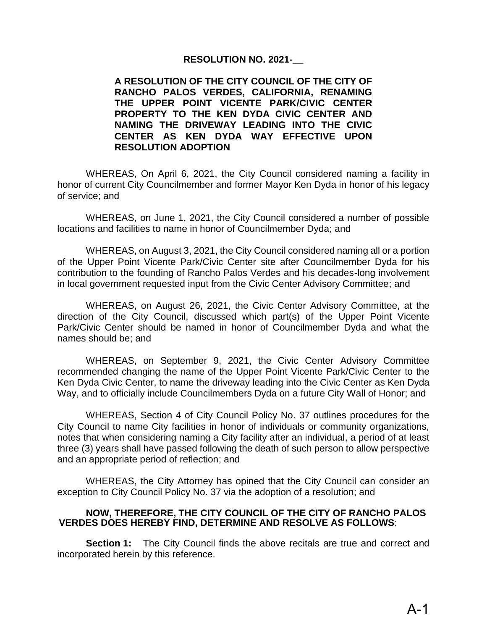## **RESOLUTION NO. 2021-\_\_**

## **A RESOLUTION OF THE CITY COUNCIL OF THE CITY OF RANCHO PALOS VERDES, CALIFORNIA, RENAMING THE UPPER POINT VICENTE PARK/CIVIC CENTER PROPERTY TO THE KEN DYDA CIVIC CENTER AND NAMING THE DRIVEWAY LEADING INTO THE CIVIC CENTER AS KEN DYDA WAY EFFECTIVE UPON RESOLUTION ADOPTION**

WHEREAS, On April 6, 2021, the City Council considered naming a facility in honor of current City Councilmember and former Mayor Ken Dyda in honor of his legacy of service; and

WHEREAS, on June 1, 2021, the City Council considered a number of possible locations and facilities to name in honor of Councilmember Dyda; and

WHEREAS, on August 3, 2021, the City Council considered naming all or a portion of the Upper Point Vicente Park/Civic Center site after Councilmember Dyda for his contribution to the founding of Rancho Palos Verdes and his decades-long involvement in local government requested input from the Civic Center Advisory Committee; and

WHEREAS, on August 26, 2021, the Civic Center Advisory Committee, at the direction of the City Council, discussed which part(s) of the Upper Point Vicente Park/Civic Center should be named in honor of Councilmember Dyda and what the names should be; and

WHEREAS, on September 9, 2021, the Civic Center Advisory Committee recommended changing the name of the Upper Point Vicente Park/Civic Center to the Ken Dyda Civic Center, to name the driveway leading into the Civic Center as Ken Dyda Way, and to officially include Councilmembers Dyda on a future City Wall of Honor; and

WHEREAS, Section 4 of City Council Policy No. 37 outlines procedures for the City Council to name City facilities in honor of individuals or community organizations, notes that when considering naming a City facility after an individual, a period of at least three (3) years shall have passed following the death of such person to allow perspective and an appropriate period of reflection; and

WHEREAS, the City Attorney has opined that the City Council can consider an exception to City Council Policy No. 37 via the adoption of a resolution; and

## **NOW, THEREFORE, THE CITY COUNCIL OF THE CITY OF RANCHO PALOS VERDES DOES HEREBY FIND, DETERMINE AND RESOLVE AS FOLLOWS**:

**Section 1:** The City Council finds the above recitals are true and correct and incorporated herein by this reference.